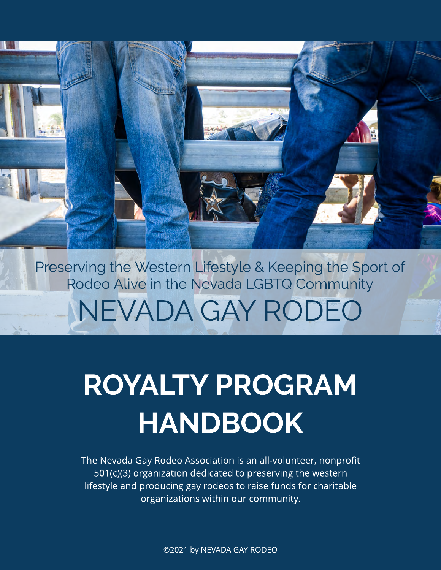NEVADA GAY RODEO Preserving the Western Lifestyle & Keeping the Sport of Rodeo Alive in the Nevada LGBTQ Community

# ROYALTY PROGRAM HANDBOOK

The Nevada Gay Rodeo Association is an all-volunteer, nonprofit 501(c)(3) organization dedicated to preserving the western lifestyle and producing gay rodeos to raise funds for charitable organizations within our community.

©2021 by NEVADA GAY RODEO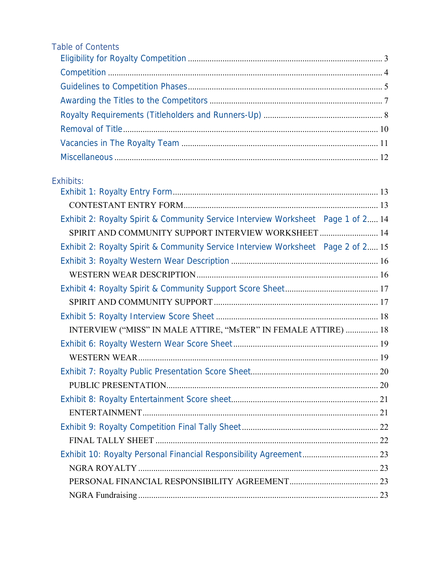| Table of Contents |  |
|-------------------|--|
|                   |  |
|                   |  |
|                   |  |
|                   |  |
|                   |  |
|                   |  |
|                   |  |
|                   |  |
|                   |  |

## Exhibits:

| Exhibit 2: Royalty Spirit & Community Service Interview Worksheet Page 1 of 2 14 |  |
|----------------------------------------------------------------------------------|--|
| SPIRIT AND COMMUNITY SUPPORT INTERVIEW WORKSHEET  14                             |  |
| Exhibit 2: Royalty Spirit & Community Service Interview Worksheet Page 2 of 2 15 |  |
|                                                                                  |  |
|                                                                                  |  |
|                                                                                  |  |
|                                                                                  |  |
|                                                                                  |  |
| INTERVIEW ("MISS" IN MALE ATTIRE, "MsTER" IN FEMALE ATTIRE)  18                  |  |
|                                                                                  |  |
|                                                                                  |  |
|                                                                                  |  |
|                                                                                  |  |
|                                                                                  |  |
|                                                                                  |  |
|                                                                                  |  |
|                                                                                  |  |
|                                                                                  |  |
|                                                                                  |  |
|                                                                                  |  |
|                                                                                  |  |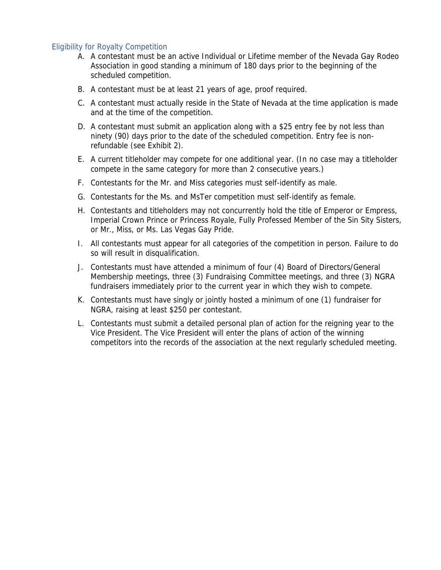#### <span id="page-2-0"></span>Eligibility for Royalty Competition

- A. A contestant must be an active Individual or Lifetime member of the Nevada Gay Rodeo Association in good standing a minimum of 180 days prior to the beginning of the scheduled competition.
- B. A contestant must be at least 21 years of age, proof required.
- C. A contestant must actually reside in the State of Nevada at the time application is made and at the time of the competition.
- D. A contestant must submit an application along with a \$25 entry fee by not less than ninety (90) days prior to the date of the scheduled competition. Entry fee is nonrefundable (see Exhibit 2).
- E. A current titleholder may compete for one additional year. (In no case may a titleholder compete in the same category for more than 2 consecutive years.)
- F. Contestants for the Mr. and Miss categories must self-identify as male.
- G. Contestants for the Ms. and MsTer competition must self-identify as female.
- H. Contestants and titleholders may not concurrently hold the title of Emperor or Empress, Imperial Crown Prince or Princess Royale, Fully Professed Member of the Sin Sity Sisters, or Mr., Miss, or Ms. Las Vegas Gay Pride.
- I. All contestants must appear for all categories of the competition in person. Failure to do so will result in disqualification.
- J. Contestants must have attended a minimum of four (4) Board of Directors/General Membership meetings, three (3) Fundraising Committee meetings, and three (3) NGRA fundraisers immediately prior to the current year in which they wish to compete.
- K. Contestants must have singly or jointly hosted a minimum of one (1) fundraiser for NGRA, raising at least \$250 per contestant.
- L. Contestants must submit a detailed personal plan of action for the reigning year to the Vice President. The Vice President will enter the plans of action of the winning competitors into the records of the association at the next regularly scheduled meeting.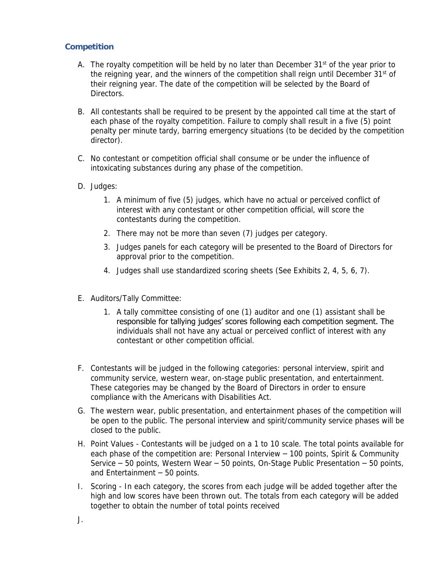#### <span id="page-3-0"></span>**Competition**

- A. The royalty competition will be held by no later than December  $31<sup>st</sup>$  of the year prior to the reigning year, and the winners of the competition shall reign until December 31<sup>st</sup> of their reigning year. The date of the competition will be selected by the Board of **Directors**
- B. All contestants shall be required to be present by the appointed call time at the start of each phase of the royalty competition. Failure to comply shall result in a five (5) point penalty per minute tardy, barring emergency situations (to be decided by the competition director).
- C. No contestant or competition official shall consume or be under the influence of intoxicating substances during any phase of the competition.
- D. Judges:
	- 1. A minimum of five (5) judges, which have no actual or perceived conflict of interest with any contestant or other competition official, will score the contestants during the competition.
	- 2. There may not be more than seven (7) judges per category.
	- 3. Judges panels for each category will be presented to the Board of Directors for approval prior to the competition.
	- 4. Judges shall use standardized scoring sheets (See Exhibits 2, 4, 5, 6, 7).
- E. Auditors/Tally Committee:
	- 1. A tally committee consisting of one (1) auditor and one (1) assistant shall be responsible for tallying judges' scores following each competition segment. The individuals shall not have any actual or perceived conflict of interest with any contestant or other competition official.
- F. Contestants will be judged in the following categories: personal interview, spirit and community service, western wear, on-stage public presentation, and entertainment. These categories may be changed by the Board of Directors in order to ensure compliance with the Americans with Disabilities Act.
- G. The western wear, public presentation, and entertainment phases of the competition will be open to the public. The personal interview and spirit/community service phases will be closed to the public.
- H. Point Values Contestants will be judged on a 1 to 10 scale. The total points available for each phase of the competition are: Personal Interview – 100 points, Spirit & Community Service – 50 points, Western Wear – 50 points, On-Stage Public Presentation – 50 points, and Entertainment – 50 points.
- I. Scoring In each category, the scores from each judge will be added together after the high and low scores have been thrown out. The totals from each category will be added together to obtain the number of total points received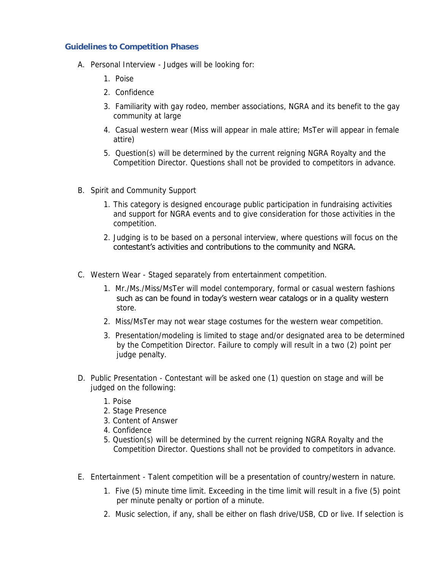#### <span id="page-4-0"></span>**Guidelines to Competition Phases**

- A. Personal Interview Judges will be looking for:
	- 1. Poise
	- 2. Confidence
	- 3. Familiarity with gay rodeo, member associations, NGRA and its benefit to the gay community at large
	- 4. Casual western wear (Miss will appear in male attire; MsTer will appear in female attire)
	- 5. Question(s) will be determined by the current reigning NGRA Royalty and the Competition Director. Questions shall not be provided to competitors in advance.
- B. Spirit and Community Support
	- 1. This category is designed encourage public participation in fundraising activities and support for NGRA events and to give consideration for those activities in the competition.
	- 2. Judging is to be based on a personal interview, where questions will focus on the contestant's activities and contributions to the community and NGRA.
- C. Western Wear Staged separately from entertainment competition.
	- 1. Mr./Ms./Miss/MsTer will model contemporary, formal or casual western fashions such as can be found in today's western wear catalogs or in a quality western store.
	- 2. Miss/MsTer may not wear stage costumes for the western wear competition.
	- 3. Presentation/modeling is limited to stage and/or designated area to be determined by the Competition Director. Failure to comply will result in a two (2) point per judge penalty.
- D. Public Presentation Contestant will be asked one (1) question on stage and will be judged on the following:
	- 1. Poise
	- 2. Stage Presence
	- 3. Content of Answer
	- 4. Confidence
	- 5. Question(s) will be determined by the current reigning NGRA Royalty and the Competition Director. Questions shall not be provided to competitors in advance.
- E. Entertainment Talent competition will be a presentation of country/western in nature.
	- 1. Five (5) minute time limit. Exceeding in the time limit will result in a five (5) point per minute penalty or portion of a minute.
	- 2. Music selection, if any, shall be either on flash drive/USB, CD or live. If selection is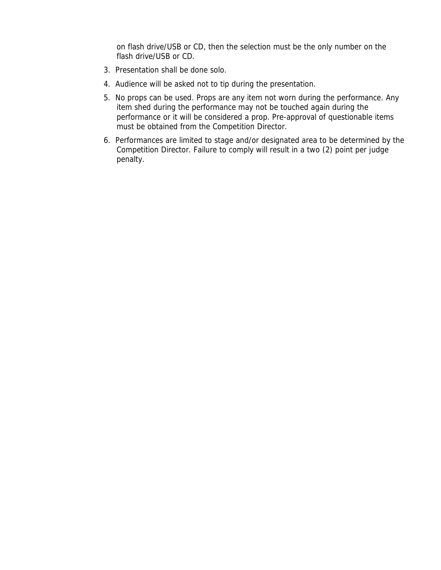on flash drive/USB or CD, then the selection must be the only number on the flash drive/USB or CD.

- 3. Presentation shall be done solo.
- 4. Audience will be asked not to tip during the presentation.
- 5. No props can be used. Props are any item not worn during the performance. Any item shed during the performance may not be touched again during the performance or it will be considered a prop. Pre-approval of questionable items must be obtained from the Competition Director.
- 6. Performances are limited to stage and/or designated area to be determined by the Competition Director. Failure to comply will result in a two (2) point per judge penalty.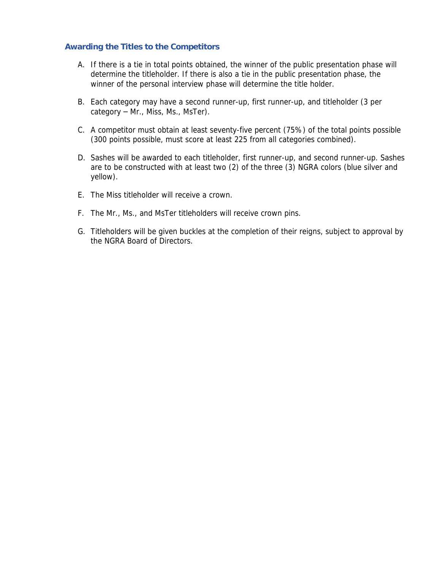#### <span id="page-6-0"></span>**Awarding the Titles to the Competitors**

- A. If there is a tie in total points obtained, the winner of the public presentation phase will determine the titleholder. If there is also a tie in the public presentation phase, the winner of the personal interview phase will determine the title holder.
- B. Each category may have a second runner-up, first runner-up, and titleholder (3 per category – Mr., Miss, Ms., MsTer).
- C. A competitor must obtain at least seventy-five percent (75%) of the total points possible (300 points possible, must score at least 225 from all categories combined).
- D. Sashes will be awarded to each titleholder, first runner-up, and second runner-up. Sashes are to be constructed with at least two (2) of the three (3) NGRA colors (blue silver and yellow).
- E. The Miss titleholder will receive a crown.
- F. The Mr., Ms., and MsTer titleholders will receive crown pins.
- G. Titleholders will be given buckles at the completion of their reigns, subject to approval by the NGRA Board of Directors.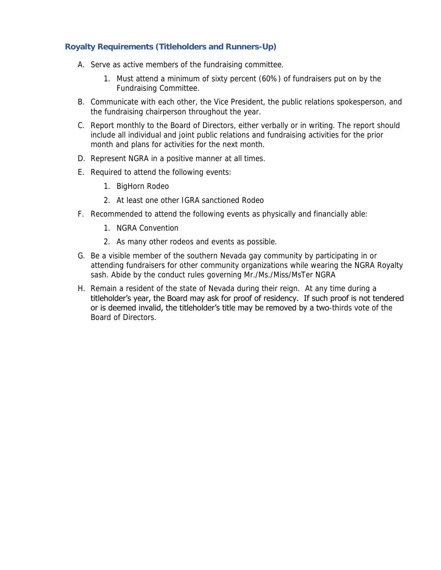#### <span id="page-7-0"></span>**Royalty Requirements (Titleholders and Runners-Up)**

- A. Serve as active members of the fundraising committee.
	- 1. Must attend a minimum of sixty percent (60%) of fundraisers put on by the Fundraising Committee.
- B. Communicate with each other, the Vice President, the public relations spokesperson, and the fundraising chairperson throughout the year.
- C. Report monthly to the Board of Directors, either verbally or in writing. The report should include all individual and joint public relations and fundraising activities for the prior month and plans for activities for the next month.
- D. Represent NGRA in a positive manner at all times.
- E. Required to attend the following events:
	- 1. BigHorn Rodeo
	- 2. At least one other IGRA sanctioned Rodeo
- F. Recommended to attend the following events as physically and financially able:
	- 1. NGRA Convention
	- 2. As many other rodeos and events as possible.
- G. Be a visible member of the southern Nevada gay community by participating in or attending fundraisers for other community organizations while wearing the NGRA Royalty sash. Abide by the conduct rules governing Mr./Ms./Miss/MsTer NGRA
- H. Remain a resident of the state of Nevada during their reign. At any time during a titleholder's year, the Board may ask for proof of residency. If such proof is not tendered or is deemed invalid, the titleholder's title may be removed by a two-thirds vote of the Board of Directors.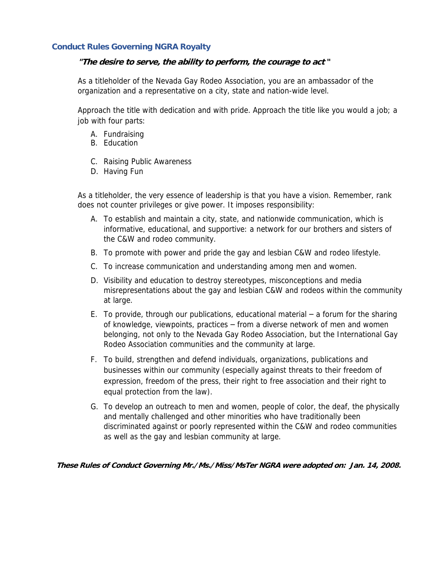#### **Conduct Rules Governing NGRA Royalty**

**"The desire to serve, the ability to perform, the courage to act "**

As a titleholder of the Nevada Gay Rodeo Association, you are an ambassador of the organization and a representative on a city, state and nation-wide level.

Approach the title with dedication and with pride. Approach the title like you would a job; a job with four parts:

- A. Fundraising
- B. Education
- C. Raising Public Awareness
- D. Having Fun

As a titleholder, the very essence of leadership is that you have a vision. Remember, rank does not counter privileges or give power. It imposes responsibility:

- A. To establish and maintain a city, state, and nationwide communication, which is informative, educational, and supportive: a network for our brothers and sisters of the C&W and rodeo community.
- B. To promote with power and pride the gay and lesbian C&W and rodeo lifestyle.
- C. To increase communication and understanding among men and women.
- D. Visibility and education to destroy stereotypes, misconceptions and media misrepresentations about the gay and lesbian C&W and rodeos within the community at large.
- E. To provide, through our publications, educational material  $-$  a forum for the sharing of knowledge, viewpoints, practices – from a diverse network of men and women belonging, not only to the Nevada Gay Rodeo Association, but the International Gay Rodeo Association communities and the community at large.
- F. To build, strengthen and defend individuals, organizations, publications and businesses within our community (especially against threats to their freedom of expression, freedom of the press, their right to free association and their right to equal protection from the law).
- G. To develop an outreach to men and women, people of color, the deaf, the physically and mentally challenged and other minorities who have traditionally been discriminated against or poorly represented within the C&W and rodeo communities as well as the gay and lesbian community at large.

**These Rules of Conduct Governing Mr./Ms./Miss/MsTer NGRA were adopted on: Jan. 14, 2008.**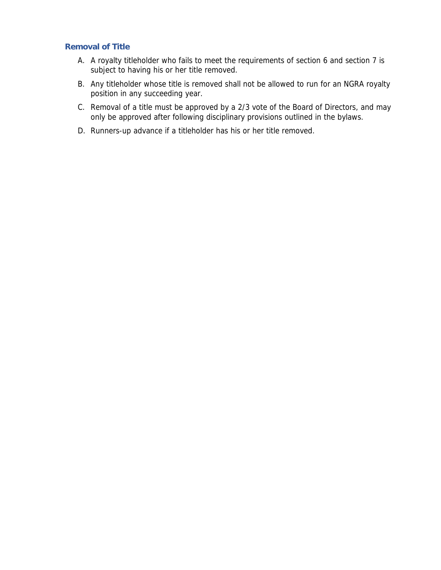#### <span id="page-9-0"></span>**Removal of Title**

- A. A royalty titleholder who fails to meet the requirements of section 6 and section 7 is subject to having his or her title removed.
- B. Any titleholder whose title is removed shall not be allowed to run for an NGRA royalty position in any succeeding year.
- C. Removal of a title must be approved by a 2/3 vote of the Board of Directors, and may only be approved after following disciplinary provisions outlined in the bylaws.
- D. Runners-up advance if a titleholder has his or her title removed.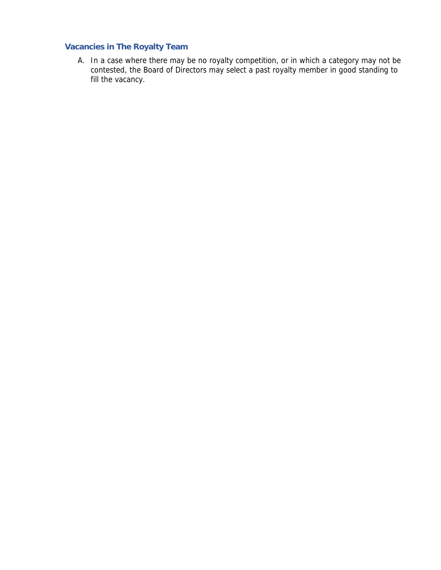#### <span id="page-10-0"></span>**Vacancies in The Royalty Team**

A. In a case where there may be no royalty competition, or in which a category may not be contested, the Board of Directors may select a past royalty member in good standing to fill the vacancy.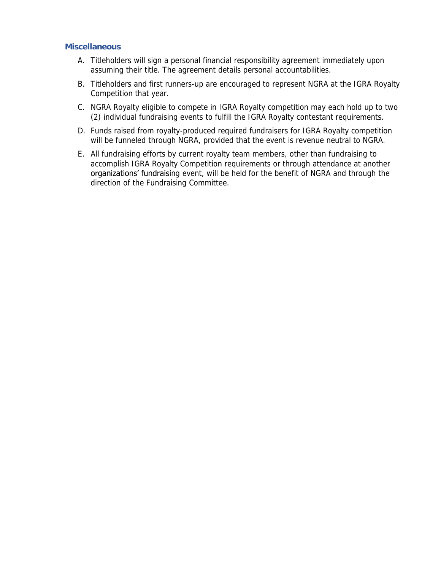#### <span id="page-11-0"></span>**Miscellaneous**

- A. Titleholders will sign a personal financial responsibility agreement immediately upon assuming their title. The agreement details personal accountabilities.
- B. Titleholders and first runners-up are encouraged to represent NGRA at the IGRA Royalty Competition that year.
- C. NGRA Royalty eligible to compete in IGRA Royalty competition may each hold up to two (2) individual fundraising events to fulfill the IGRA Royalty contestant requirements.
- D. Funds raised from royalty-produced required fundraisers for IGRA Royalty competition will be funneled through NGRA, provided that the event is revenue neutral to NGRA.
- E. All fundraising efforts by current royalty team members, other than fundraising to accomplish IGRA Royalty Competition requirements or through attendance at another organizations' fundraising event, will be held for the benefit of NGRA and through the direction of the Fundraising Committee.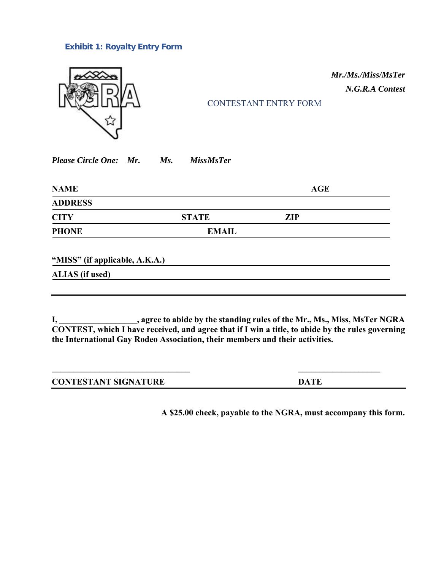#### <span id="page-12-0"></span>**Exhibit 1: Royalty Entry Form**



#### <span id="page-12-1"></span>CONTESTANT ENTRY FORM

<u> 1989 - Johann Barn, mars and de Brasilian (b. 1989)</u>

*Mr./Ms./Miss/MsTer N.G.R.A Contest*

*Please Circle One: Mr. Ms. MissMsTer*

| <b>NAME</b>    |              | <b>AGE</b> |
|----------------|--------------|------------|
| <b>ADDRESS</b> |              |            |
| <b>CITY</b>    | <b>STATE</b> | <b>ZIP</b> |
| <b>PHONE</b>   | <b>EMAIL</b> |            |

**"MISS" (if applicable, A.K.A.)**

**ALIAS (if used)**

**I, \_\_\_\_\_\_\_\_\_\_\_\_\_\_\_\_\_\_, agree to abide by the standing rules of the Mr., Ms., Miss, MsTer NGRA CONTEST, which I have received, and agree that if I win a title, to abide by the rules governing the International Gay Rodeo Association, their members and their activities.**

| <b>CONTESTANT SIGNATURE</b> | DATE |
|-----------------------------|------|

**A \$25.00 check, payable to the NGRA, must accompany this form.**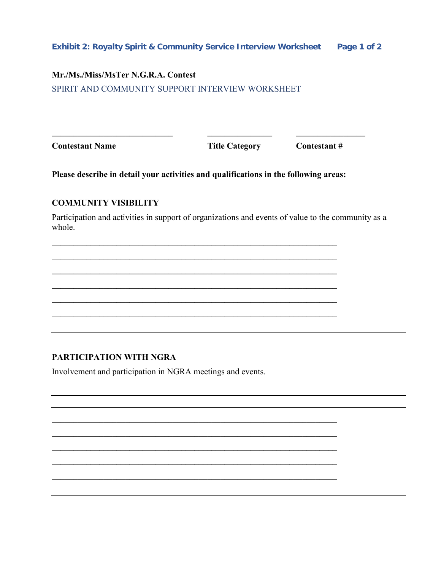#### <span id="page-13-0"></span>**Mr./Ms./Miss/MsTer N.G.R.A. Contest**

<span id="page-13-1"></span>SPIRIT AND COMMUNITY SUPPORT INTERVIEW WORKSHEET

**Contestant Name Title Category** Contestant #

**Please describe in detail your activities and qualifications in the following areas:**

**\_\_\_\_\_\_\_\_\_\_\_\_\_\_\_\_\_\_\_\_\_\_\_\_\_\_\_\_\_\_\_\_\_\_\_\_\_\_\_\_\_\_\_\_\_\_\_\_\_\_\_\_\_\_\_\_\_\_\_\_\_\_\_\_\_\_ \_\_\_\_\_\_\_\_\_\_\_\_\_\_\_\_\_\_\_\_\_\_\_\_\_\_\_\_\_\_\_\_\_\_\_\_\_\_\_\_\_\_\_\_\_\_\_\_\_\_\_\_\_\_\_\_\_\_\_\_\_\_\_\_\_\_ \_\_\_\_\_\_\_\_\_\_\_\_\_\_\_\_\_\_\_\_\_\_\_\_\_\_\_\_\_\_\_\_\_\_\_\_\_\_\_\_\_\_\_\_\_\_\_\_\_\_\_\_\_\_\_\_\_\_\_\_\_\_\_\_\_\_ \_\_\_\_\_\_\_\_\_\_\_\_\_\_\_\_\_\_\_\_\_\_\_\_\_\_\_\_\_\_\_\_\_\_\_\_\_\_\_\_\_\_\_\_\_\_\_\_\_\_\_\_\_\_\_\_\_\_\_\_\_\_\_\_\_\_ \_\_\_\_\_\_\_\_\_\_\_\_\_\_\_\_\_\_\_\_\_\_\_\_\_\_\_\_\_\_\_\_\_\_\_\_\_\_\_\_\_\_\_\_\_\_\_\_\_\_\_\_\_\_\_\_\_\_\_\_\_\_\_\_\_\_ \_\_\_\_\_\_\_\_\_\_\_\_\_\_\_\_\_\_\_\_\_\_\_\_\_\_\_\_\_\_\_\_\_\_\_\_\_\_\_\_\_\_\_\_\_\_\_\_\_\_\_\_\_\_\_\_\_\_\_\_\_\_\_\_\_\_**

**\_\_\_\_\_\_\_\_\_\_\_\_\_\_\_\_\_\_\_\_\_\_\_\_\_\_\_\_\_\_\_\_\_\_\_\_\_\_\_\_\_\_\_\_\_\_\_\_\_\_\_\_\_\_\_\_\_\_\_\_\_\_\_\_\_\_ \_\_\_\_\_\_\_\_\_\_\_\_\_\_\_\_\_\_\_\_\_\_\_\_\_\_\_\_\_\_\_\_\_\_\_\_\_\_\_\_\_\_\_\_\_\_\_\_\_\_\_\_\_\_\_\_\_\_\_\_\_\_\_\_\_\_ \_\_\_\_\_\_\_\_\_\_\_\_\_\_\_\_\_\_\_\_\_\_\_\_\_\_\_\_\_\_\_\_\_\_\_\_\_\_\_\_\_\_\_\_\_\_\_\_\_\_\_\_\_\_\_\_\_\_\_\_\_\_\_\_\_\_ \_\_\_\_\_\_\_\_\_\_\_\_\_\_\_\_\_\_\_\_\_\_\_\_\_\_\_\_\_\_\_\_\_\_\_\_\_\_\_\_\_\_\_\_\_\_\_\_\_\_\_\_\_\_\_\_\_\_\_\_\_\_\_\_\_\_ \_\_\_\_\_\_\_\_\_\_\_\_\_\_\_\_\_\_\_\_\_\_\_\_\_\_\_\_\_\_\_\_\_\_\_\_\_\_\_\_\_\_\_\_\_\_\_\_\_\_\_\_\_\_\_\_\_\_\_\_\_\_\_\_\_\_**

**\_\_\_\_\_\_\_\_\_\_\_\_\_\_\_\_\_\_\_\_\_\_\_\_\_\_\_\_ \_\_\_\_\_\_\_\_\_\_\_\_\_\_\_ \_\_\_\_\_\_\_\_\_\_\_\_\_\_\_\_**

#### **COMMUNITY VISIBILITY**

Participation and activities in support of organizations and events of value to the community as a whole.

#### **PARTICIPATION WITH NGRA**

Involvement and participation in NGRA meetings and events.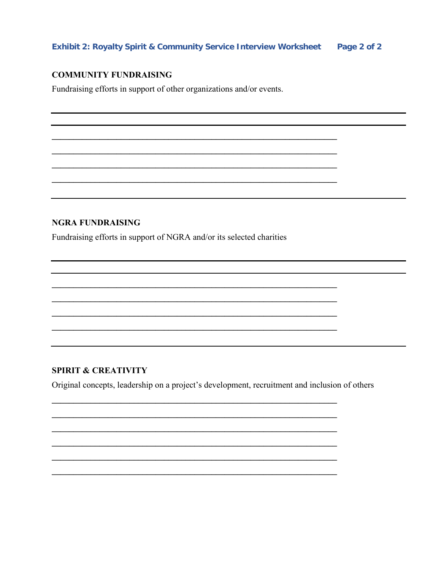#### <span id="page-14-0"></span>**COMMUNITY FUNDRAISING**

Fundraising efforts in support of other organizations and/or events.

#### **NGRA FUNDRAISING**

Fundraising efforts in support of NGRA and/or its selected charities

#### **SPIRIT & CREATIVITY**

Original concepts, leadership on a project's development, recruitment and inclusion of others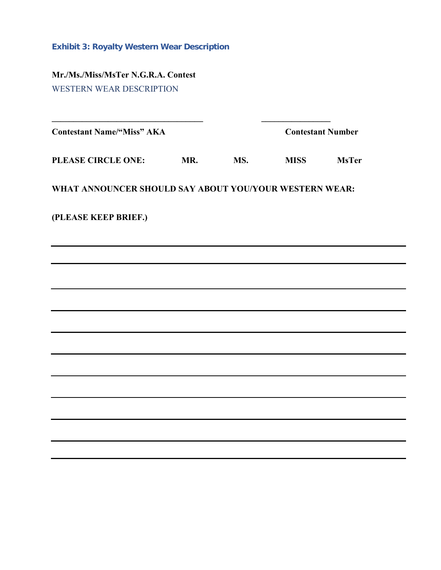<span id="page-15-0"></span>**Exhibit 3: Royalty Western Wear Description**

<span id="page-15-1"></span>**Mr./Ms./Miss/MsTer N.G.R.A. Contest** WESTERN WEAR DESCRIPTION

| <b>Contestant Name/"Miss" AKA</b>                      |     |     | <b>Contestant Number</b> |              |  |  |  |
|--------------------------------------------------------|-----|-----|--------------------------|--------------|--|--|--|
| PLEASE CIRCLE ONE:                                     | MR. | MS. | <b>MISS</b>              | <b>MsTer</b> |  |  |  |
| WHAT ANNOUNCER SHOULD SAY ABOUT YOU/YOUR WESTERN WEAR: |     |     |                          |              |  |  |  |
| (PLEASE KEEP BRIEF.)                                   |     |     |                          |              |  |  |  |
|                                                        |     |     |                          |              |  |  |  |
|                                                        |     |     |                          |              |  |  |  |
|                                                        |     |     |                          |              |  |  |  |
|                                                        |     |     |                          |              |  |  |  |
|                                                        |     |     |                          |              |  |  |  |
|                                                        |     |     |                          |              |  |  |  |
|                                                        |     |     |                          |              |  |  |  |
|                                                        |     |     |                          |              |  |  |  |
|                                                        |     |     |                          |              |  |  |  |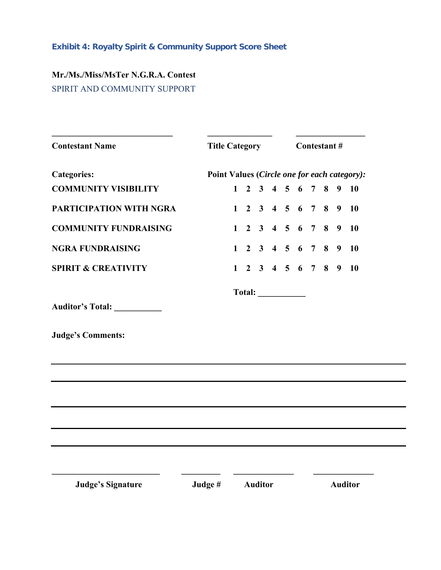## <span id="page-16-0"></span>**Exhibit 4: Royalty Spirit & Community Support Score Sheet**

## <span id="page-16-1"></span>**Mr./Ms./Miss/MsTer N.G.R.A. Contest** SPIRIT AND COMMUNITY SUPPORT

| <b>Contestant Name</b>         | <b>Title Category</b>                        | Contestant#  |                                     |  |  |               |  |  |                |           |
|--------------------------------|----------------------------------------------|--------------|-------------------------------------|--|--|---------------|--|--|----------------|-----------|
| <b>Categories:</b>             | Point Values (Circle one for each category): |              |                                     |  |  |               |  |  |                |           |
| <b>COMMUNITY VISIBILITY</b>    |                                              | $\mathbf{1}$ |                                     |  |  | 2 3 4 5 6 7 8 |  |  | 9 <sup>1</sup> | <b>10</b> |
| PARTICIPATION WITH NGRA        |                                              |              | $1 \t2 \t3 \t4 \t5 \t6 \t7 \t8 \t9$ |  |  |               |  |  |                | <b>10</b> |
| <b>COMMUNITY FUNDRAISING</b>   |                                              |              | $1 \t2 \t3 \t4 \t5 \t6 \t7 \t8$     |  |  |               |  |  | $\overline{9}$ | 10        |
| <b>NGRA FUNDRAISING</b>        |                                              |              | $1 \t2 \t3 \t4 \t5 \t6 \t7 \t8$     |  |  |               |  |  | $\overline{9}$ | <b>10</b> |
| <b>SPIRIT &amp; CREATIVITY</b> |                                              |              | $1 \t2 \t3 \t4 \t5 \t6 \t7 \t8$     |  |  |               |  |  | 9              | 10        |
|                                |                                              |              |                                     |  |  |               |  |  |                |           |
| Auditor's Total: __________    |                                              |              |                                     |  |  |               |  |  |                |           |
| <b>Judge's Comments:</b>       |                                              |              |                                     |  |  |               |  |  |                |           |
|                                |                                              |              |                                     |  |  |               |  |  |                |           |
|                                |                                              |              |                                     |  |  |               |  |  |                |           |
|                                |                                              |              |                                     |  |  |               |  |  |                |           |
|                                |                                              |              |                                     |  |  |               |  |  |                |           |
|                                |                                              |              |                                     |  |  |               |  |  |                |           |
|                                |                                              |              |                                     |  |  |               |  |  |                |           |
|                                |                                              |              |                                     |  |  |               |  |  |                |           |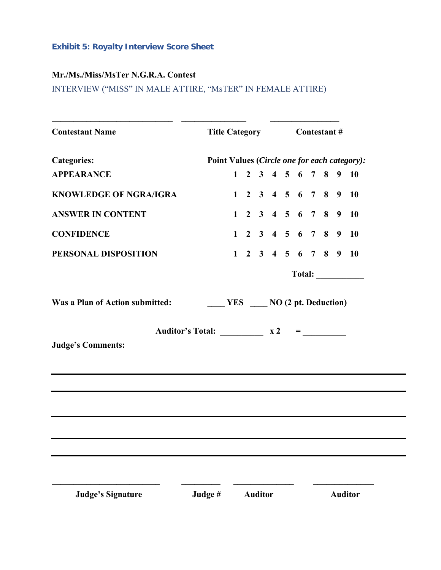#### <span id="page-17-0"></span>**Exhibit 5: Royalty Interview Score Sheet**

### **Mr./Ms./Miss/MsTer N.G.R.A. Contest**

<span id="page-17-1"></span>INTERVIEW ("MISS" IN MALE ATTIRE, "MsTER" IN FEMALE ATTIRE)

| <b>Contestant Name</b>                                                             |                                              | Title Category Contestant # |  |  |  |  |  |  |  |                                          |
|------------------------------------------------------------------------------------|----------------------------------------------|-----------------------------|--|--|--|--|--|--|--|------------------------------------------|
| <b>Categories:</b>                                                                 | Point Values (Circle one for each category): |                             |  |  |  |  |  |  |  |                                          |
| <b>APPEARANCE</b>                                                                  |                                              |                             |  |  |  |  |  |  |  | $1 \t2 \t3 \t4 \t5 \t6 \t7 \t8 \t9 \t10$ |
| <b>KNOWLEDGE OF NGRA/IGRA</b>                                                      |                                              |                             |  |  |  |  |  |  |  | $1 \t2 \t3 \t4 \t5 \t6 \t7 \t8 \t9 \t10$ |
| <b>ANSWER IN CONTENT</b>                                                           |                                              |                             |  |  |  |  |  |  |  | $1$ 2 3 4 5 6 7 8 9 10                   |
| <b>CONFIDENCE</b>                                                                  |                                              |                             |  |  |  |  |  |  |  | $1 \t2 \t3 \t4 \t5 \t6 \t7 \t8 \t9 \t10$ |
| PERSONAL DISPOSITION                                                               |                                              |                             |  |  |  |  |  |  |  | $1 \t2 \t3 \t4 \t5 \t6 \t7 \t8 \t9 \t10$ |
|                                                                                    |                                              |                             |  |  |  |  |  |  |  | Total:                                   |
|                                                                                    |                                              |                             |  |  |  |  |  |  |  |                                          |
| Auditor's Total: $\frac{\ }{\ }$ x 2 = $\frac{\ }{\ }$<br><b>Judge's Comments:</b> |                                              |                             |  |  |  |  |  |  |  |                                          |
|                                                                                    |                                              |                             |  |  |  |  |  |  |  |                                          |
|                                                                                    |                                              |                             |  |  |  |  |  |  |  |                                          |
|                                                                                    |                                              |                             |  |  |  |  |  |  |  |                                          |
|                                                                                    |                                              |                             |  |  |  |  |  |  |  |                                          |
|                                                                                    |                                              |                             |  |  |  |  |  |  |  |                                          |
|                                                                                    |                                              |                             |  |  |  |  |  |  |  |                                          |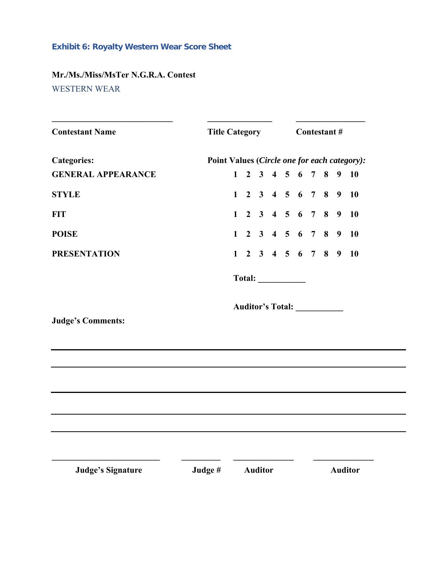#### <span id="page-18-0"></span>**Exhibit 6: Royalty Western Wear Score Sheet**

## <span id="page-18-1"></span>**Mr./Ms./Miss/MsTer N.G.R.A. Contest** WESTERN WEAR

| <b>Contestant Name</b>    |                                              | Title Category Contestant # |  |  |  |                         |  |  |  |                                          |  |
|---------------------------|----------------------------------------------|-----------------------------|--|--|--|-------------------------|--|--|--|------------------------------------------|--|
| <b>Categories:</b>        | Point Values (Circle one for each category): |                             |  |  |  |                         |  |  |  |                                          |  |
| <b>GENERAL APPEARANCE</b> |                                              |                             |  |  |  |                         |  |  |  | $1 \t2 \t3 \t4 \t5 \t6 \t7 \t8 \t9 \t10$ |  |
| <b>STYLE</b>              |                                              |                             |  |  |  |                         |  |  |  | $1$ 2 3 4 5 6 7 8 9 10                   |  |
| <b>FIT</b>                |                                              |                             |  |  |  |                         |  |  |  | $1 \t2 \t3 \t4 \t5 \t6 \t7 \t8 \t9 \t10$ |  |
| <b>POISE</b>              |                                              |                             |  |  |  |                         |  |  |  | $1 \t2 \t3 \t4 \t5 \t6 \t7 \t8 \t9 \t10$ |  |
| <b>PRESENTATION</b>       |                                              |                             |  |  |  |                         |  |  |  | $1 \t2 \t3 \t4 \t5 \t6 \t7 \t8 \t9 \t10$ |  |
|                           |                                              |                             |  |  |  | Total:                  |  |  |  |                                          |  |
|                           |                                              |                             |  |  |  | <b>Auditor's Total:</b> |  |  |  |                                          |  |
| <b>Judge's Comments:</b>  |                                              |                             |  |  |  |                         |  |  |  |                                          |  |
|                           |                                              |                             |  |  |  |                         |  |  |  |                                          |  |
|                           |                                              |                             |  |  |  |                         |  |  |  |                                          |  |
|                           |                                              |                             |  |  |  |                         |  |  |  |                                          |  |
|                           |                                              |                             |  |  |  |                         |  |  |  |                                          |  |
|                           |                                              |                             |  |  |  |                         |  |  |  |                                          |  |
|                           |                                              |                             |  |  |  |                         |  |  |  |                                          |  |
| <b>Judge's Signature</b>  | Judge #                                      | <b>Auditor</b>              |  |  |  |                         |  |  |  | <b>Auditor</b>                           |  |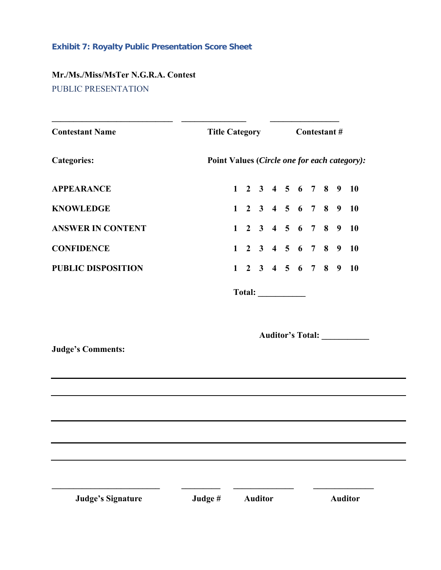## <span id="page-19-0"></span>**Exhibit 7: Royalty Public Presentation Score Sheet**

## <span id="page-19-1"></span>**Mr./Ms./Miss/MsTer N.G.R.A. Contest** PUBLIC PRESENTATION

| <b>Contestant Name</b>    |        |                                              |  |                |  | Title Category Contestant # |  |  |  |  |                                          |  |
|---------------------------|--------|----------------------------------------------|--|----------------|--|-----------------------------|--|--|--|--|------------------------------------------|--|
| <b>Categories:</b>        |        | Point Values (Circle one for each category): |  |                |  |                             |  |  |  |  |                                          |  |
| <b>APPEARANCE</b>         |        |                                              |  |                |  |                             |  |  |  |  | $1$ 2 3 4 5 6 7 8 9 10                   |  |
| <b>KNOWLEDGE</b>          |        |                                              |  |                |  |                             |  |  |  |  | $1 \t2 \t3 \t4 \t5 \t6 \t7 \t8 \t9 \t10$ |  |
| <b>ANSWER IN CONTENT</b>  |        |                                              |  |                |  |                             |  |  |  |  | $1 \t2 \t3 \t4 \t5 \t6 \t7 \t8 \t9 \t10$ |  |
| <b>CONFIDENCE</b>         |        |                                              |  |                |  |                             |  |  |  |  | $1$ 2 3 4 5 6 7 8 9 10                   |  |
| <b>PUBLIC DISPOSITION</b> |        |                                              |  |                |  |                             |  |  |  |  | $1 \t2 \t3 \t4 \t5 \t6 \t7 \t8 \t9 \t10$ |  |
|                           |        |                                              |  |                |  |                             |  |  |  |  |                                          |  |
|                           |        |                                              |  |                |  |                             |  |  |  |  |                                          |  |
|                           |        |                                              |  |                |  |                             |  |  |  |  | Auditor's Total: ___________             |  |
| <b>Judge's Comments:</b>  |        |                                              |  |                |  |                             |  |  |  |  |                                          |  |
|                           |        |                                              |  |                |  |                             |  |  |  |  |                                          |  |
|                           |        |                                              |  |                |  |                             |  |  |  |  |                                          |  |
|                           |        |                                              |  |                |  |                             |  |  |  |  |                                          |  |
|                           |        |                                              |  |                |  |                             |  |  |  |  |                                          |  |
|                           |        |                                              |  |                |  |                             |  |  |  |  |                                          |  |
|                           |        |                                              |  |                |  |                             |  |  |  |  |                                          |  |
| <b>Judge's Signature</b>  | Judge# |                                              |  | <b>Auditor</b> |  |                             |  |  |  |  | <b>Auditor</b>                           |  |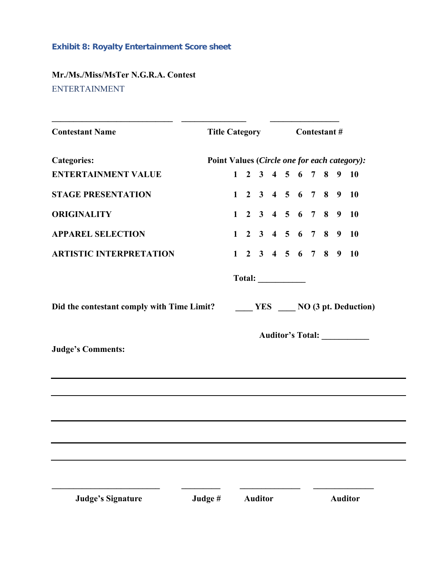## <span id="page-20-0"></span>**Exhibit 8: Royalty Entertainment Score sheet**

## <span id="page-20-1"></span>**Mr./Ms./Miss/MsTer N.G.R.A. Contest** ENTERTAINMENT

| <b>Contestant Name</b>                                                         |                                              |  |  |  |  |  |  | Title Category Contestant # |  |  |                                          |  |  |  |
|--------------------------------------------------------------------------------|----------------------------------------------|--|--|--|--|--|--|-----------------------------|--|--|------------------------------------------|--|--|--|
| <b>Categories:</b>                                                             | Point Values (Circle one for each category): |  |  |  |  |  |  |                             |  |  |                                          |  |  |  |
| <b>ENTERTAINMENT VALUE</b>                                                     |                                              |  |  |  |  |  |  |                             |  |  | $1$ 2 3 4 5 6 7 8 9 10                   |  |  |  |
| <b>STAGE PRESENTATION</b>                                                      |                                              |  |  |  |  |  |  |                             |  |  | $1 \t2 \t3 \t4 \t5 \t6 \t7 \t8 \t9 \t10$ |  |  |  |
| <b>ORIGINALITY</b>                                                             |                                              |  |  |  |  |  |  |                             |  |  | $1 \t2 \t3 \t4 \t5 \t6 \t7 \t8 \t9 \t10$ |  |  |  |
| <b>APPAREL SELECTION</b>                                                       |                                              |  |  |  |  |  |  |                             |  |  | $1$ 2 3 4 5 6 7 8 9 10                   |  |  |  |
| <b>ARTISTIC INTERPRETATION</b>                                                 |                                              |  |  |  |  |  |  |                             |  |  | $1 \t2 \t3 \t4 \t5 \t6 \t7 \t8 \t9 \t10$ |  |  |  |
|                                                                                |                                              |  |  |  |  |  |  |                             |  |  |                                          |  |  |  |
|                                                                                |                                              |  |  |  |  |  |  |                             |  |  |                                          |  |  |  |
| Did the contestant comply with Time Limit?<br><u> WES NO</u> (3 pt. Deduction) |                                              |  |  |  |  |  |  |                             |  |  |                                          |  |  |  |
|                                                                                |                                              |  |  |  |  |  |  |                             |  |  | Auditor's Total: ___________             |  |  |  |
|                                                                                |                                              |  |  |  |  |  |  |                             |  |  |                                          |  |  |  |
|                                                                                |                                              |  |  |  |  |  |  |                             |  |  |                                          |  |  |  |
|                                                                                |                                              |  |  |  |  |  |  |                             |  |  |                                          |  |  |  |
|                                                                                |                                              |  |  |  |  |  |  |                             |  |  |                                          |  |  |  |
| <b>Judge's Comments:</b>                                                       |                                              |  |  |  |  |  |  |                             |  |  |                                          |  |  |  |
|                                                                                |                                              |  |  |  |  |  |  |                             |  |  |                                          |  |  |  |
|                                                                                |                                              |  |  |  |  |  |  |                             |  |  |                                          |  |  |  |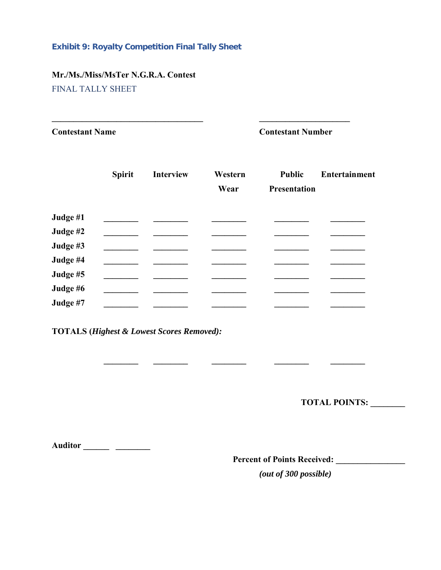#### <span id="page-21-0"></span>**Exhibit 9: Royalty Competition Final Tally Sheet**

# **Mr./Ms./Miss/MsTer N.G.R.A. Contest**

<span id="page-21-1"></span>FINAL TALLY SHEET

**Contestant Name Contestant Number**

|          | <b>Spirit</b> | <b>Interview</b> | Western | <b>Public</b>       | <b>Entertainment</b> |
|----------|---------------|------------------|---------|---------------------|----------------------|
|          |               |                  | Wear    | <b>Presentation</b> |                      |
| Judge #1 |               |                  |         |                     |                      |
| Judge #2 |               |                  |         |                     |                      |
| Judge #3 |               |                  |         |                     |                      |
| Judge #4 |               |                  |         |                     |                      |
| Judge #5 |               |                  |         |                     |                      |
| Judge #6 |               |                  |         |                     |                      |
| Judge #7 |               |                  |         |                     |                      |

 **\_\_\_\_\_\_\_\_ \_\_\_\_\_\_\_\_ \_\_\_\_\_\_\_\_ \_\_\_\_\_\_\_\_ \_\_\_\_\_\_\_\_**

**\_\_\_\_\_\_\_\_\_\_\_\_\_\_\_\_\_\_\_\_\_\_\_\_\_\_\_\_\_\_\_\_\_\_\_ \_\_\_\_\_\_\_\_\_\_\_\_\_\_\_\_\_\_\_\_\_**

**TOTALS (***Highest & Lowest Scores Removed):*

**TOTAL POINTS: \_\_\_\_\_\_\_\_** 

**Auditor \_\_\_\_\_\_ \_\_\_\_\_\_\_\_**

**Percent of Points Received: \_\_\_\_\_\_\_\_\_\_\_\_\_\_\_\_**

*(out of 300 possible)*